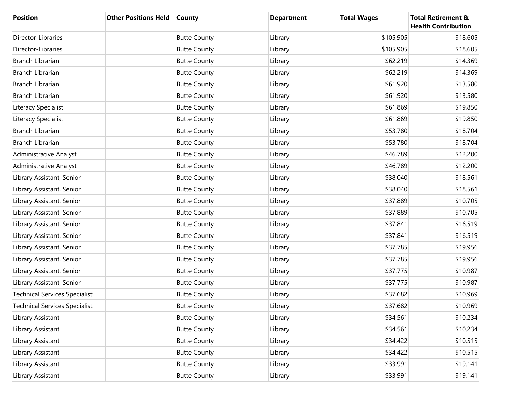| <b>Position</b>                      | <b>Other Positions Held</b> | <b>County</b>       | <b>Department</b> | <b>Total Wages</b> | <b>Total Retirement &amp;</b><br><b>Health Contribution</b> |
|--------------------------------------|-----------------------------|---------------------|-------------------|--------------------|-------------------------------------------------------------|
| Director-Libraries                   |                             | <b>Butte County</b> | Library           | \$105,905          | \$18,605                                                    |
| Director-Libraries                   |                             | <b>Butte County</b> | Library           | \$105,905          | \$18,605                                                    |
| Branch Librarian                     |                             | <b>Butte County</b> | Library           | \$62,219           | \$14,369                                                    |
| Branch Librarian                     |                             | <b>Butte County</b> | Library           | \$62,219           | \$14,369                                                    |
| Branch Librarian                     |                             | <b>Butte County</b> | Library           | \$61,920           | \$13,580                                                    |
| <b>Branch Librarian</b>              |                             | <b>Butte County</b> | Library           | \$61,920           | \$13,580                                                    |
| Literacy Specialist                  |                             | <b>Butte County</b> | Library           | \$61,869           | \$19,850                                                    |
| Literacy Specialist                  |                             | <b>Butte County</b> | Library           | \$61,869           | \$19,850                                                    |
| Branch Librarian                     |                             | <b>Butte County</b> | Library           | \$53,780           | \$18,704                                                    |
| Branch Librarian                     |                             | <b>Butte County</b> | Library           | \$53,780           | \$18,704                                                    |
| Administrative Analyst               |                             | <b>Butte County</b> | Library           | \$46,789           | \$12,200                                                    |
| <b>Administrative Analyst</b>        |                             | <b>Butte County</b> | Library           | \$46,789           | \$12,200                                                    |
| Library Assistant, Senior            |                             | <b>Butte County</b> | Library           | \$38,040           | \$18,561                                                    |
| Library Assistant, Senior            |                             | <b>Butte County</b> | Library           | \$38,040           | \$18,561                                                    |
| Library Assistant, Senior            |                             | <b>Butte County</b> | Library           | \$37,889           | \$10,705                                                    |
| Library Assistant, Senior            |                             | <b>Butte County</b> | Library           | \$37,889           | \$10,705                                                    |
| Library Assistant, Senior            |                             | <b>Butte County</b> | Library           | \$37,841           | \$16,519                                                    |
| Library Assistant, Senior            |                             | <b>Butte County</b> | Library           | \$37,841           | \$16,519                                                    |
| Library Assistant, Senior            |                             | <b>Butte County</b> | Library           | \$37,785           | \$19,956                                                    |
| Library Assistant, Senior            |                             | <b>Butte County</b> | Library           | \$37,785           | \$19,956                                                    |
| Library Assistant, Senior            |                             | <b>Butte County</b> | Library           | \$37,775           | \$10,987                                                    |
| Library Assistant, Senior            |                             | <b>Butte County</b> | Library           | \$37,775           | \$10,987                                                    |
| <b>Technical Services Specialist</b> |                             | <b>Butte County</b> | Library           | \$37,682           | \$10,969                                                    |
| <b>Technical Services Specialist</b> |                             | <b>Butte County</b> | Library           | \$37,682           | \$10,969                                                    |
| Library Assistant                    |                             | <b>Butte County</b> | Library           | \$34,561           | \$10,234                                                    |
| Library Assistant                    |                             | <b>Butte County</b> | Library           | \$34,561           | \$10,234                                                    |
| Library Assistant                    |                             | <b>Butte County</b> | Library           | \$34,422           | \$10,515                                                    |
| Library Assistant                    |                             | <b>Butte County</b> | Library           | \$34,422           | \$10,515                                                    |
| Library Assistant                    |                             | <b>Butte County</b> | Library           | \$33,991           | \$19,141                                                    |
| Library Assistant                    |                             | <b>Butte County</b> | Library           | \$33,991           | \$19,141                                                    |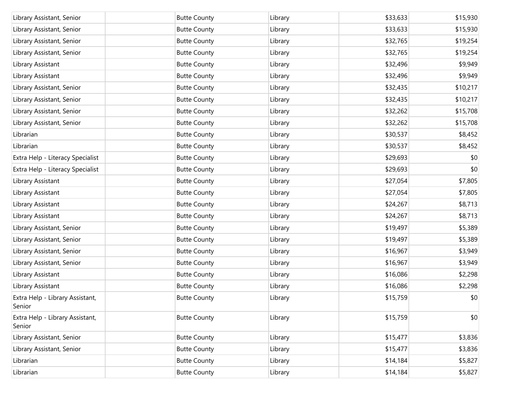| Library Assistant, Senior                 | <b>Butte County</b> | Library | \$33,633 | \$15,930 |
|-------------------------------------------|---------------------|---------|----------|----------|
| Library Assistant, Senior                 | <b>Butte County</b> | Library | \$33,633 | \$15,930 |
| Library Assistant, Senior                 | <b>Butte County</b> | Library | \$32,765 | \$19,254 |
| Library Assistant, Senior                 | <b>Butte County</b> | Library | \$32,765 | \$19,254 |
| Library Assistant                         | <b>Butte County</b> | Library | \$32,496 | \$9,949  |
| Library Assistant                         | <b>Butte County</b> | Library | \$32,496 | \$9,949  |
| Library Assistant, Senior                 | <b>Butte County</b> | Library | \$32,435 | \$10,217 |
| Library Assistant, Senior                 | <b>Butte County</b> | Library | \$32,435 | \$10,217 |
| Library Assistant, Senior                 | <b>Butte County</b> | Library | \$32,262 | \$15,708 |
| Library Assistant, Senior                 | <b>Butte County</b> | Library | \$32,262 | \$15,708 |
| Librarian                                 | <b>Butte County</b> | Library | \$30,537 | \$8,452  |
| Librarian                                 | <b>Butte County</b> | Library | \$30,537 | \$8,452  |
| Extra Help - Literacy Specialist          | <b>Butte County</b> | Library | \$29,693 | \$0      |
| Extra Help - Literacy Specialist          | <b>Butte County</b> | Library | \$29,693 | \$0      |
| Library Assistant                         | <b>Butte County</b> | Library | \$27,054 | \$7,805  |
| Library Assistant                         | <b>Butte County</b> | Library | \$27,054 | \$7,805  |
| Library Assistant                         | <b>Butte County</b> | Library | \$24,267 | \$8,713  |
| Library Assistant                         | <b>Butte County</b> | Library | \$24,267 | \$8,713  |
| Library Assistant, Senior                 | <b>Butte County</b> | Library | \$19,497 | \$5,389  |
| Library Assistant, Senior                 | <b>Butte County</b> | Library | \$19,497 | \$5,389  |
| Library Assistant, Senior                 | <b>Butte County</b> | Library | \$16,967 | \$3,949  |
| Library Assistant, Senior                 | <b>Butte County</b> | Library | \$16,967 | \$3,949  |
| Library Assistant                         | <b>Butte County</b> | Library | \$16,086 | \$2,298  |
| Library Assistant                         | <b>Butte County</b> | Library | \$16,086 | \$2,298  |
| Extra Help - Library Assistant,<br>Senior | <b>Butte County</b> | Library | \$15,759 | \$0      |
| Extra Help - Library Assistant,<br>Senior | <b>Butte County</b> | Library | \$15,759 | \$0      |
| Library Assistant, Senior                 | <b>Butte County</b> | Library | \$15,477 | \$3,836  |
| Library Assistant, Senior                 | <b>Butte County</b> | Library | \$15,477 | \$3,836  |
| Librarian                                 | <b>Butte County</b> | Library | \$14,184 | \$5,827  |
| Librarian                                 | <b>Butte County</b> | Library | \$14,184 | \$5,827  |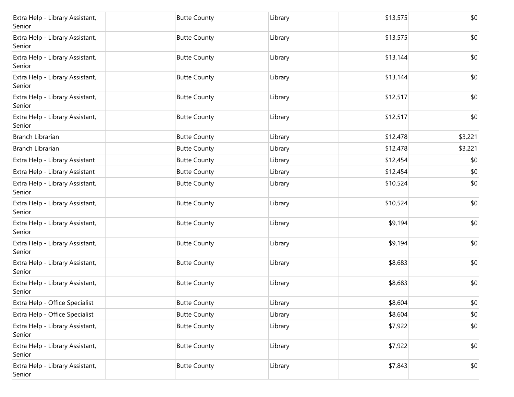| Extra Help - Library Assistant,<br>Senior | <b>Butte County</b> | Library | \$13,575 | \$0     |
|-------------------------------------------|---------------------|---------|----------|---------|
| Extra Help - Library Assistant,<br>Senior | <b>Butte County</b> | Library | \$13,575 | \$0     |
| Extra Help - Library Assistant,<br>Senior | <b>Butte County</b> | Library | \$13,144 | \$0     |
| Extra Help - Library Assistant,<br>Senior | <b>Butte County</b> | Library | \$13,144 | \$0     |
| Extra Help - Library Assistant,<br>Senior | <b>Butte County</b> | Library | \$12,517 | \$0     |
| Extra Help - Library Assistant,<br>Senior | <b>Butte County</b> | Library | \$12,517 | \$0     |
| <b>Branch Librarian</b>                   | <b>Butte County</b> | Library | \$12,478 | \$3,221 |
| Branch Librarian                          | <b>Butte County</b> | Library | \$12,478 | \$3,221 |
| Extra Help - Library Assistant            | <b>Butte County</b> | Library | \$12,454 | \$0     |
| Extra Help - Library Assistant            | <b>Butte County</b> | Library | \$12,454 | \$0     |
| Extra Help - Library Assistant,<br>Senior | <b>Butte County</b> | Library | \$10,524 | \$0     |
| Extra Help - Library Assistant,<br>Senior | <b>Butte County</b> | Library | \$10,524 | \$0     |
| Extra Help - Library Assistant,<br>Senior | <b>Butte County</b> | Library | \$9,194  | \$0     |
| Extra Help - Library Assistant,<br>Senior | <b>Butte County</b> | Library | \$9,194  | \$0     |
| Extra Help - Library Assistant,<br>Senior | <b>Butte County</b> | Library | \$8,683  | \$0     |
| Extra Help - Library Assistant,<br>Senior | <b>Butte County</b> | Library | \$8,683  | \$0     |
| Extra Help - Office Specialist            | <b>Butte County</b> | Library | \$8,604  | $$0$$   |
| Extra Help - Office Specialist            | <b>Butte County</b> | Library | \$8,604  | \$0     |
| Extra Help - Library Assistant,<br>Senior | <b>Butte County</b> | Library | \$7,922  | \$0     |
| Extra Help - Library Assistant,<br>Senior | <b>Butte County</b> | Library | \$7,922  | \$0     |
| Extra Help - Library Assistant,<br>Senior | <b>Butte County</b> | Library | \$7,843  | \$0     |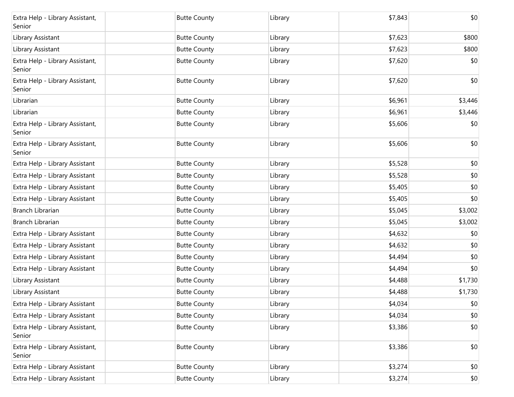| Extra Help - Library Assistant,<br>Senior | <b>Butte County</b> | Library | \$7,843 | \$0     |
|-------------------------------------------|---------------------|---------|---------|---------|
| Library Assistant                         | <b>Butte County</b> | Library | \$7,623 | \$800   |
| Library Assistant                         | <b>Butte County</b> | Library | \$7,623 | \$800   |
| Extra Help - Library Assistant,<br>Senior | <b>Butte County</b> | Library | \$7,620 | \$0     |
| Extra Help - Library Assistant,<br>Senior | <b>Butte County</b> | Library | \$7,620 | \$0     |
| Librarian                                 | <b>Butte County</b> | Library | \$6,961 | \$3,446 |
| Librarian                                 | <b>Butte County</b> | Library | \$6,961 | \$3,446 |
| Extra Help - Library Assistant,<br>Senior | <b>Butte County</b> | Library | \$5,606 | \$0     |
| Extra Help - Library Assistant,<br>Senior | <b>Butte County</b> | Library | \$5,606 | \$0     |
| Extra Help - Library Assistant            | <b>Butte County</b> | Library | \$5,528 | \$0     |
| Extra Help - Library Assistant            | <b>Butte County</b> | Library | \$5,528 | \$0     |
| Extra Help - Library Assistant            | <b>Butte County</b> | Library | \$5,405 | \$0     |
| Extra Help - Library Assistant            | <b>Butte County</b> | Library | \$5,405 | \$0     |
| Branch Librarian                          | <b>Butte County</b> | Library | \$5,045 | \$3,002 |
| Branch Librarian                          | <b>Butte County</b> | Library | \$5,045 | \$3,002 |
| Extra Help - Library Assistant            | <b>Butte County</b> | Library | \$4,632 | \$0     |
| Extra Help - Library Assistant            | <b>Butte County</b> | Library | \$4,632 | \$0     |
| Extra Help - Library Assistant            | <b>Butte County</b> | Library | \$4,494 | \$0     |
| Extra Help - Library Assistant            | <b>Butte County</b> | Library | \$4,494 | \$0     |
| Library Assistant                         | <b>Butte County</b> | Library | \$4,488 | \$1,730 |
| Library Assistant                         | <b>Butte County</b> | Library | \$4,488 | \$1,730 |
| Extra Help - Library Assistant            | <b>Butte County</b> | Library | \$4,034 | $$0$$   |
| Extra Help - Library Assistant            | <b>Butte County</b> | Library | \$4,034 | \$0     |
| Extra Help - Library Assistant,<br>Senior | <b>Butte County</b> | Library | \$3,386 | \$0     |
| Extra Help - Library Assistant,<br>Senior | <b>Butte County</b> | Library | \$3,386 | \$0     |
| Extra Help - Library Assistant            | <b>Butte County</b> | Library | \$3,274 | \$0     |
| Extra Help - Library Assistant            | <b>Butte County</b> | Library | \$3,274 | \$0     |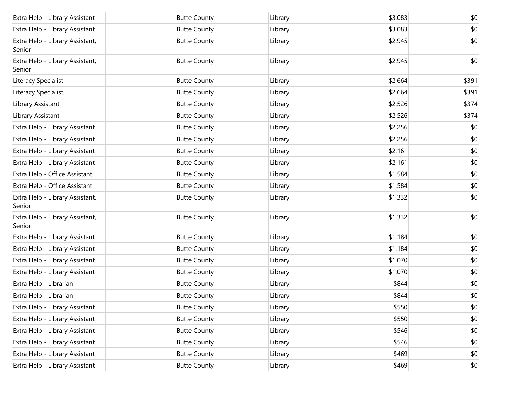| Extra Help - Library Assistant            | <b>Butte County</b> | Library | \$3,083 | \$0   |
|-------------------------------------------|---------------------|---------|---------|-------|
| Extra Help - Library Assistant            | <b>Butte County</b> | Library | \$3,083 | \$0   |
| Extra Help - Library Assistant,<br>Senior | <b>Butte County</b> | Library | \$2,945 | \$0   |
| Extra Help - Library Assistant,<br>Senior | <b>Butte County</b> | Library | \$2,945 | \$0   |
| Literacy Specialist                       | <b>Butte County</b> | Library | \$2,664 | \$391 |
| Literacy Specialist                       | <b>Butte County</b> | Library | \$2,664 | \$391 |
| Library Assistant                         | <b>Butte County</b> | Library | \$2,526 | \$374 |
| Library Assistant                         | <b>Butte County</b> | Library | \$2,526 | \$374 |
| Extra Help - Library Assistant            | <b>Butte County</b> | Library | \$2,256 | \$0   |
| Extra Help - Library Assistant            | <b>Butte County</b> | Library | \$2,256 | \$0   |
| Extra Help - Library Assistant            | <b>Butte County</b> | Library | \$2,161 | \$0   |
| Extra Help - Library Assistant            | <b>Butte County</b> | Library | \$2,161 | \$0   |
| Extra Help - Office Assistant             | <b>Butte County</b> | Library | \$1,584 | \$0   |
| Extra Help - Office Assistant             | <b>Butte County</b> | Library | \$1,584 | \$0   |
| Extra Help - Library Assistant,<br>Senior | <b>Butte County</b> | Library | \$1,332 | \$0   |
| Extra Help - Library Assistant,<br>Senior | <b>Butte County</b> | Library | \$1,332 | \$0   |
| Extra Help - Library Assistant            | <b>Butte County</b> | Library | \$1,184 | \$0   |
| Extra Help - Library Assistant            | <b>Butte County</b> | Library | \$1,184 | \$0   |
| Extra Help - Library Assistant            | <b>Butte County</b> | Library | \$1,070 | \$0   |
| Extra Help - Library Assistant            | <b>Butte County</b> | Library | \$1,070 | \$0   |
| Extra Help - Librarian                    | <b>Butte County</b> | Library | \$844   | \$0   |
| Extra Help - Librarian                    | <b>Butte County</b> | Library | \$844   | \$0   |
| Extra Help - Library Assistant            | <b>Butte County</b> | Library | \$550   | \$0   |
| Extra Help - Library Assistant            | <b>Butte County</b> | Library | \$550   | \$0   |
| Extra Help - Library Assistant            | <b>Butte County</b> | Library | \$546   | \$0   |
| Extra Help - Library Assistant            | <b>Butte County</b> | Library | \$546   | \$0   |
| Extra Help - Library Assistant            | <b>Butte County</b> | Library | \$469   | \$0   |
| Extra Help - Library Assistant            | <b>Butte County</b> | Library | \$469   | \$0   |